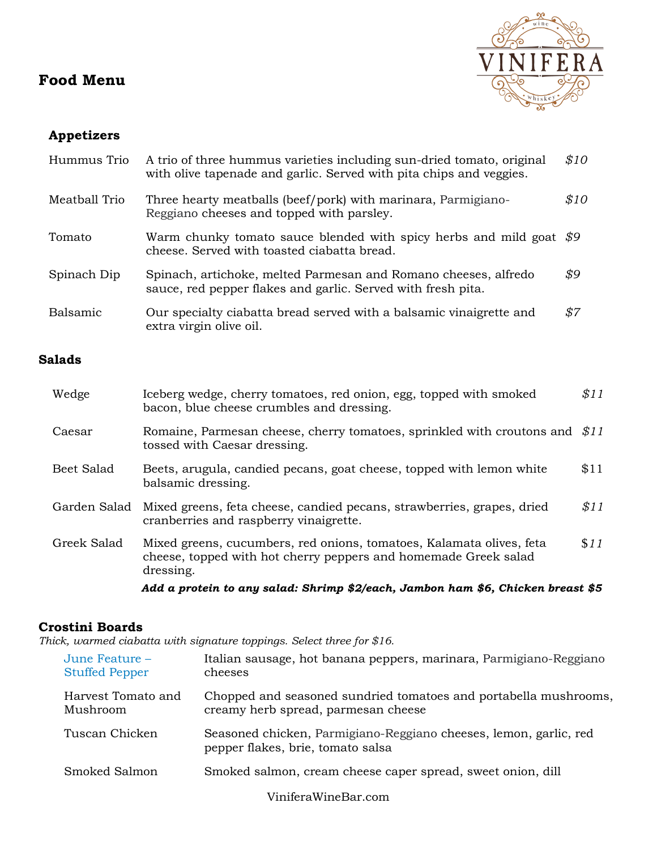# **Food Menu**



# **Appetizers**

| Hummus Trio     | A trio of three hummus varieties including sun-dried tomato, original<br>with olive tapenade and garlic. Served with pita chips and veggies. | \$10 |
|-----------------|----------------------------------------------------------------------------------------------------------------------------------------------|------|
| Meatball Trio   | Three hearty meatballs (beef/pork) with marinara, Parmigiano-<br>Reggiano cheeses and topped with parsley.                                   | \$10 |
| Tomato          | Warm chunky tomato sauce blended with spicy herbs and mild goat $$9$<br>cheese. Served with toasted ciabatta bread.                          |      |
| Spinach Dip     | Spinach, artichoke, melted Parmesan and Romano cheeses, alfredo<br>sauce, red pepper flakes and garlic. Served with fresh pita.              | \$9  |
| <b>Balsamic</b> | Our specialty ciabatta bread served with a balsamic vinaigrette and<br>extra virgin olive oil.                                               | \$7  |

### **Salads**

| Wedge        | Iceberg wedge, cherry tomatoes, red onion, egg, topped with smoked<br>bacon, blue cheese crumbles and dressing.                                      | \$11 |  |  |
|--------------|------------------------------------------------------------------------------------------------------------------------------------------------------|------|--|--|
| Caesar       | Romaine, Parmesan cheese, cherry tomatoes, sprinkled with croutons and \$11<br>tossed with Caesar dressing.                                          |      |  |  |
| Beet Salad   | Beets, arugula, candied pecans, goat cheese, topped with lemon white<br>balsamic dressing.                                                           | \$11 |  |  |
| Garden Salad | Mixed greens, feta cheese, candied pecans, strawberries, grapes, dried<br>cranberries and raspberry vinaigrette.                                     | \$11 |  |  |
| Greek Salad  | Mixed greens, cucumbers, red onions, tomatoes, Kalamata olives, feta<br>cheese, topped with hot cherry peppers and homemade Greek salad<br>dressing. | \$11 |  |  |
|              | Add a protein to any salad: Shrimp \$2/each, Jambon ham \$6, Chicken breast \$5                                                                      |      |  |  |

### **Crostini Boards**

*Thick, warmed ciabatta with signature toppings. Select three for \$16.*

| June Feature $-$<br><b>Stuffed Pepper</b> | Italian sausage, hot banana peppers, marinara, Parmigiano-Reggiano<br>cheeses                           |
|-------------------------------------------|---------------------------------------------------------------------------------------------------------|
| Harvest Tomato and<br>Mushroom            | Chopped and seasoned sundried tomatoes and portabella mushrooms,<br>creamy herb spread, parmesan cheese |
| Tuscan Chicken                            | Seasoned chicken, Parmigiano-Reggiano cheeses, lemon, garlic, red<br>pepper flakes, brie, tomato salsa  |
| Smoked Salmon                             | Smoked salmon, cream cheese caper spread, sweet onion, dill                                             |
|                                           |                                                                                                         |

ViniferaWineBar.com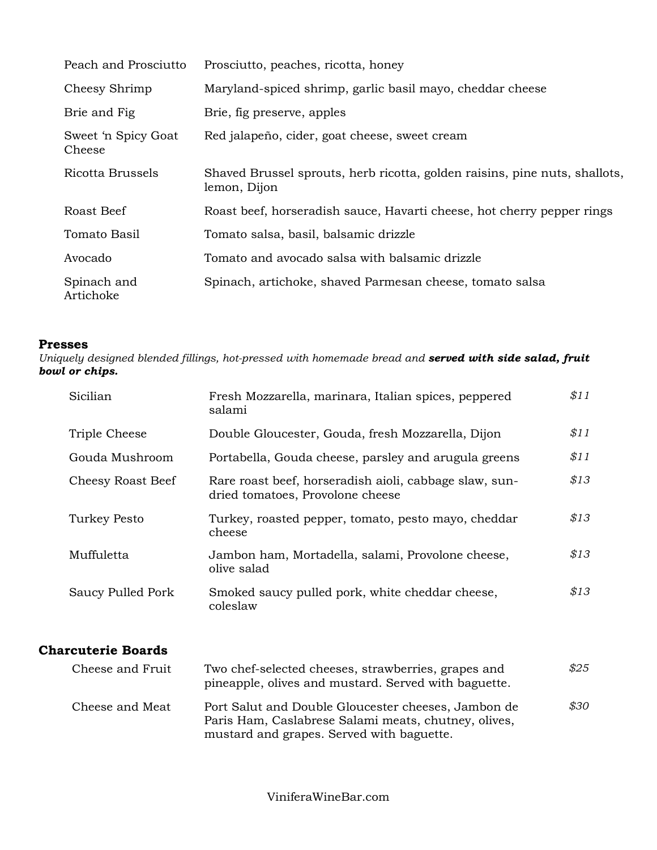| Peach and Prosciutto          | Prosciutto, peaches, ricotta, honey                                                        |
|-------------------------------|--------------------------------------------------------------------------------------------|
| Cheesy Shrimp                 | Maryland-spiced shrimp, garlic basil mayo, cheddar cheese                                  |
| Brie and Fig.                 | Brie, fig preserve, apples                                                                 |
| Sweet 'n Spicy Goat<br>Cheese | Red jalapeño, cider, goat cheese, sweet cream                                              |
| Ricotta Brussels              | Shaved Brussel sprouts, herb ricotta, golden raisins, pine nuts, shallots,<br>lemon, Dijon |
| Roast Beef                    | Roast beef, horseradish sauce, Havarti cheese, hot cherry pepper rings                     |
| Tomato Basil                  | Tomato salsa, basil, balsamic drizzle                                                      |
| Avocado                       | Tomato and avocado salsa with balsamic drizzle                                             |
| Spinach and<br>Artichoke      | Spinach, artichoke, shaved Parmesan cheese, tomato salsa                                   |

#### **Presses**

*Uniquely designed blended fillings, hot-pressed with homemade bread and served with side salad, fruit bowl or chips.*

| Sicilian          | Fresh Mozzarella, marinara, Italian spices, peppered<br>salami                             | \$11 |
|-------------------|--------------------------------------------------------------------------------------------|------|
| Triple Cheese     | Double Gloucester, Gouda, fresh Mozzarella, Dijon                                          | \$11 |
| Gouda Mushroom    | Portabella, Gouda cheese, parsley and arugula greens                                       | \$11 |
| Cheesy Roast Beef | Rare roast beef, horseradish aioli, cabbage slaw, sun-<br>dried tomatoes, Provolone cheese | \$13 |
| Turkey Pesto      | Turkey, roasted pepper, tomato, pesto mayo, cheddar<br>cheese                              | \$13 |
| Muffuletta        | Jambon ham, Mortadella, salami, Provolone cheese,<br>olive salad                           | \$13 |
| Saucy Pulled Pork | Smoked saucy pulled pork, white cheddar cheese,<br>coleslaw                                | \$13 |

### **Charcuterie Boards**

| Cheese and Fruit | Two chef-selected cheeses, strawberries, grapes and<br>pineapple, olives and mustard. Served with baguette.                                              | \$25 |
|------------------|----------------------------------------------------------------------------------------------------------------------------------------------------------|------|
| Cheese and Meat  | Port Salut and Double Gloucester cheeses, Jambon de<br>Paris Ham, Caslabrese Salami meats, chutney, olives,<br>mustard and grapes. Served with baguette. | \$30 |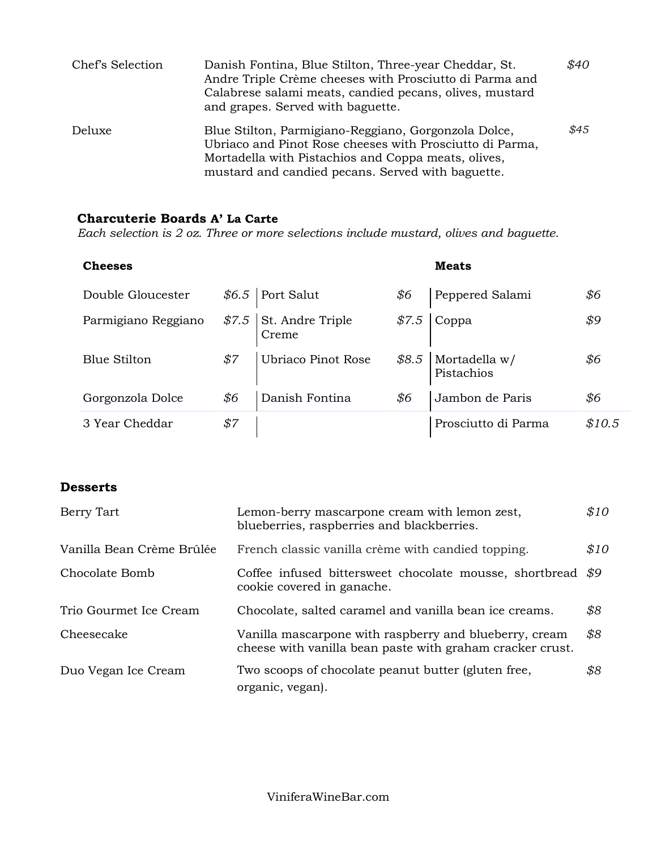| Chef's Selection | Danish Fontina, Blue Stilton, Three-year Cheddar, St.<br>Andre Triple Crème cheeses with Prosciutto di Parma and<br>Calabrese salami meats, candied pecans, olives, mustard<br>and grapes. Served with baguette.             | \$40 |
|------------------|------------------------------------------------------------------------------------------------------------------------------------------------------------------------------------------------------------------------------|------|
| Deluxe           | Blue Stilton, Parmigiano-Reggiano, Gorgonzola Dolce,<br>Ubriaco and Pinot Rose cheeses with Prosciutto di Parma,<br>Mortadella with Pistachios and Coppa meats, olives,<br>mustard and candied pecans. Served with baguette. | \$45 |

## **Charcuterie Boards A' La Carte**

*Each selection is 2 oz. Three or more selections include mustard, olives and baguette.*

| <b>Cheeses</b>      |     |                                  |     | <b>Meats</b>                       |        |
|---------------------|-----|----------------------------------|-----|------------------------------------|--------|
| Double Gloucester   |     | $$6.5$ Port Salut                | \$6 | Peppered Salami                    | \$6    |
| Parmigiano Reggiano |     | $$7.5$ St. Andre Triple<br>Creme |     | $$7.5$ Coppa                       | \$9    |
| <b>Blue Stilton</b> | \$7 | Ubriaco Pinot Rose               |     | $$8.5$ Mortadella w/<br>Pistachios | \$6    |
| Gorgonzola Dolce    | \$6 | Danish Fontina                   | \$6 | Jambon de Paris                    | \$6    |
| 3 Year Cheddar      | \$7 |                                  |     | Prosciutto di Parma                | \$10.5 |

### **Desserts**

| Berry Tart                | Lemon-berry mascarpone cream with lemon zest,<br>blueberries, raspberries and blackberries.                         | \$10 |
|---------------------------|---------------------------------------------------------------------------------------------------------------------|------|
| Vanilla Bean Crème Brûlée | French classic vanilla crème with candied topping.                                                                  | \$10 |
| Chocolate Bomb            | Coffee infused bittersweet chocolate mousse, shortbread \$9<br>cookie covered in ganache.                           |      |
| Trio Gourmet Ice Cream    | Chocolate, salted caramel and vanilla bean ice creams.                                                              | \$8  |
| Cheesecake                | Vanilla mascarpone with raspberry and blueberry, cream<br>cheese with vanilla bean paste with graham cracker crust. | \$8  |
| Duo Vegan Ice Cream       | Two scoops of chocolate peanut butter (gluten free,<br>organic, vegan).                                             | \$8  |